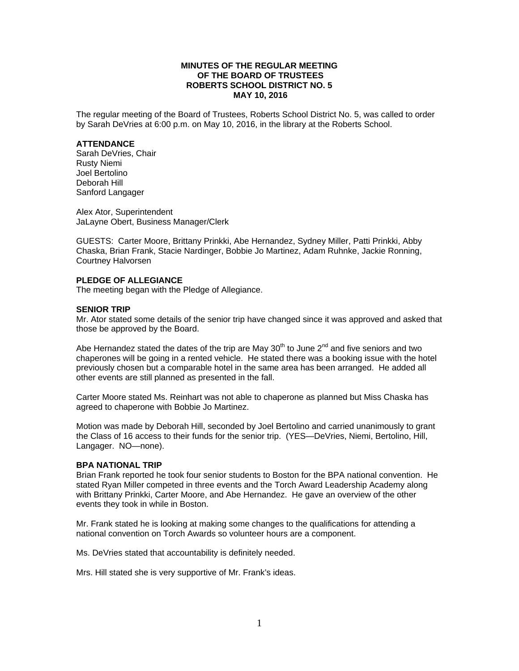# **MINUTES OF THE REGULAR MEETING OF THE BOARD OF TRUSTEES ROBERTS SCHOOL DISTRICT NO. 5 MAY 10, 2016**

The regular meeting of the Board of Trustees, Roberts School District No. 5, was called to order by Sarah DeVries at 6:00 p.m. on May 10, 2016, in the library at the Roberts School.

### **ATTENDANCE**

Sarah DeVries, Chair Rusty Niemi Joel Bertolino Deborah Hill Sanford Langager

Alex Ator, Superintendent JaLayne Obert, Business Manager/Clerk

GUESTS: Carter Moore, Brittany Prinkki, Abe Hernandez, Sydney Miller, Patti Prinkki, Abby Chaska, Brian Frank, Stacie Nardinger, Bobbie Jo Martinez, Adam Ruhnke, Jackie Ronning, Courtney Halvorsen

# **PLEDGE OF ALLEGIANCE**

The meeting began with the Pledge of Allegiance.

### **SENIOR TRIP**

Mr. Ator stated some details of the senior trip have changed since it was approved and asked that those be approved by the Board.

Abe Hernandez stated the dates of the trip are May  $30<sup>th</sup>$  to June  $2<sup>nd</sup>$  and five seniors and two chaperones will be going in a rented vehicle. He stated there was a booking issue with the hotel previously chosen but a comparable hotel in the same area has been arranged. He added all other events are still planned as presented in the fall.

Carter Moore stated Ms. Reinhart was not able to chaperone as planned but Miss Chaska has agreed to chaperone with Bobbie Jo Martinez.

Motion was made by Deborah Hill, seconded by Joel Bertolino and carried unanimously to grant the Class of 16 access to their funds for the senior trip. (YES—DeVries, Niemi, Bertolino, Hill, Langager. NO—none).

#### **BPA NATIONAL TRIP**

Brian Frank reported he took four senior students to Boston for the BPA national convention. He stated Ryan Miller competed in three events and the Torch Award Leadership Academy along with Brittany Prinkki, Carter Moore, and Abe Hernandez. He gave an overview of the other events they took in while in Boston.

Mr. Frank stated he is looking at making some changes to the qualifications for attending a national convention on Torch Awards so volunteer hours are a component.

Ms. DeVries stated that accountability is definitely needed.

Mrs. Hill stated she is very supportive of Mr. Frank's ideas.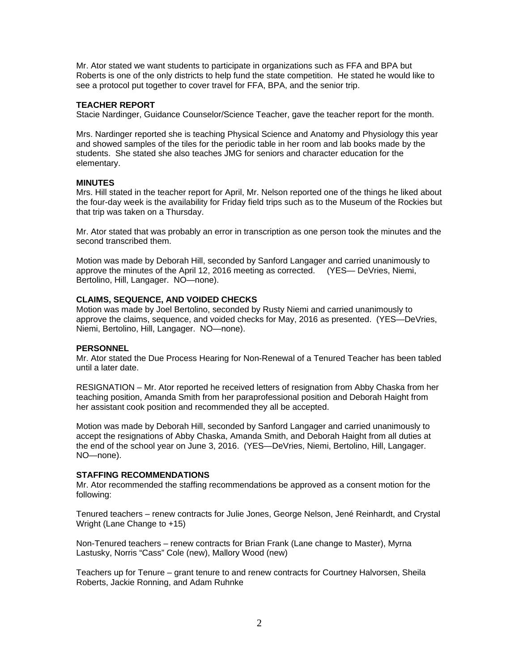Mr. Ator stated we want students to participate in organizations such as FFA and BPA but Roberts is one of the only districts to help fund the state competition. He stated he would like to see a protocol put together to cover travel for FFA, BPA, and the senior trip.

# **TEACHER REPORT**

Stacie Nardinger, Guidance Counselor/Science Teacher, gave the teacher report for the month.

Mrs. Nardinger reported she is teaching Physical Science and Anatomy and Physiology this year and showed samples of the tiles for the periodic table in her room and lab books made by the students. She stated she also teaches JMG for seniors and character education for the elementary.

# **MINUTES**

Mrs. Hill stated in the teacher report for April, Mr. Nelson reported one of the things he liked about the four-day week is the availability for Friday field trips such as to the Museum of the Rockies but that trip was taken on a Thursday.

Mr. Ator stated that was probably an error in transcription as one person took the minutes and the second transcribed them.

Motion was made by Deborah Hill, seconded by Sanford Langager and carried unanimously to approve the minutes of the April 12, 2016 meeting as corrected. (YES— DeVries, Niemi, Bertolino, Hill, Langager. NO—none).

### **CLAIMS, SEQUENCE, AND VOIDED CHECKS**

Motion was made by Joel Bertolino, seconded by Rusty Niemi and carried unanimously to approve the claims, sequence, and voided checks for May, 2016 as presented. (YES—DeVries, Niemi, Bertolino, Hill, Langager. NO—none).

#### **PERSONNEL**

Mr. Ator stated the Due Process Hearing for Non-Renewal of a Tenured Teacher has been tabled until a later date.

RESIGNATION – Mr. Ator reported he received letters of resignation from Abby Chaska from her teaching position, Amanda Smith from her paraprofessional position and Deborah Haight from her assistant cook position and recommended they all be accepted.

Motion was made by Deborah Hill, seconded by Sanford Langager and carried unanimously to accept the resignations of Abby Chaska, Amanda Smith, and Deborah Haight from all duties at the end of the school year on June 3, 2016. (YES—DeVries, Niemi, Bertolino, Hill, Langager. NO—none).

# **STAFFING RECOMMENDATIONS**

Mr. Ator recommended the staffing recommendations be approved as a consent motion for the following:

Tenured teachers – renew contracts for Julie Jones, George Nelson, Jené Reinhardt, and Crystal Wright (Lane Change to +15)

Non-Tenured teachers – renew contracts for Brian Frank (Lane change to Master), Myrna Lastusky, Norris "Cass" Cole (new), Mallory Wood (new)

Teachers up for Tenure – grant tenure to and renew contracts for Courtney Halvorsen, Sheila Roberts, Jackie Ronning, and Adam Ruhnke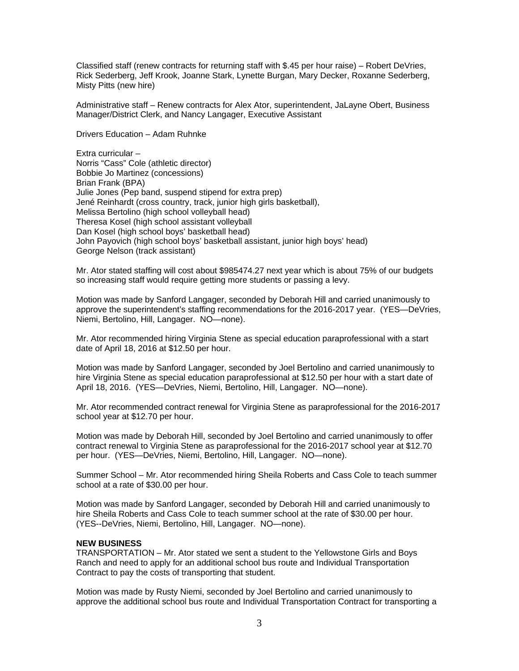Classified staff (renew contracts for returning staff with \$.45 per hour raise) – Robert DeVries, Rick Sederberg, Jeff Krook, Joanne Stark, Lynette Burgan, Mary Decker, Roxanne Sederberg, Misty Pitts (new hire)

Administrative staff – Renew contracts for Alex Ator, superintendent, JaLayne Obert, Business Manager/District Clerk, and Nancy Langager, Executive Assistant

Drivers Education – Adam Ruhnke

Extra curricular – Norris "Cass" Cole (athletic director) Bobbie Jo Martinez (concessions) Brian Frank (BPA) Julie Jones (Pep band, suspend stipend for extra prep) Jené Reinhardt (cross country, track, junior high girls basketball), Melissa Bertolino (high school volleyball head) Theresa Kosel (high school assistant volleyball Dan Kosel (high school boys' basketball head) John Payovich (high school boys' basketball assistant, junior high boys' head) George Nelson (track assistant)

Mr. Ator stated staffing will cost about \$985474.27 next year which is about 75% of our budgets so increasing staff would require getting more students or passing a levy.

Motion was made by Sanford Langager, seconded by Deborah Hill and carried unanimously to approve the superintendent's staffing recommendations for the 2016-2017 year. (YES—DeVries, Niemi, Bertolino, Hill, Langager. NO—none).

Mr. Ator recommended hiring Virginia Stene as special education paraprofessional with a start date of April 18, 2016 at \$12.50 per hour.

Motion was made by Sanford Langager, seconded by Joel Bertolino and carried unanimously to hire Virginia Stene as special education paraprofessional at \$12.50 per hour with a start date of April 18, 2016. (YES—DeVries, Niemi, Bertolino, Hill, Langager. NO—none).

Mr. Ator recommended contract renewal for Virginia Stene as paraprofessional for the 2016-2017 school year at \$12.70 per hour.

Motion was made by Deborah Hill, seconded by Joel Bertolino and carried unanimously to offer contract renewal to Virginia Stene as paraprofessional for the 2016-2017 school year at \$12.70 per hour. (YES—DeVries, Niemi, Bertolino, Hill, Langager. NO—none).

Summer School – Mr. Ator recommended hiring Sheila Roberts and Cass Cole to teach summer school at a rate of \$30.00 per hour.

Motion was made by Sanford Langager, seconded by Deborah Hill and carried unanimously to hire Sheila Roberts and Cass Cole to teach summer school at the rate of \$30.00 per hour. (YES--DeVries, Niemi, Bertolino, Hill, Langager. NO—none).

# **NEW BUSINESS**

TRANSPORTATION – Mr. Ator stated we sent a student to the Yellowstone Girls and Boys Ranch and need to apply for an additional school bus route and Individual Transportation Contract to pay the costs of transporting that student.

Motion was made by Rusty Niemi, seconded by Joel Bertolino and carried unanimously to approve the additional school bus route and Individual Transportation Contract for transporting a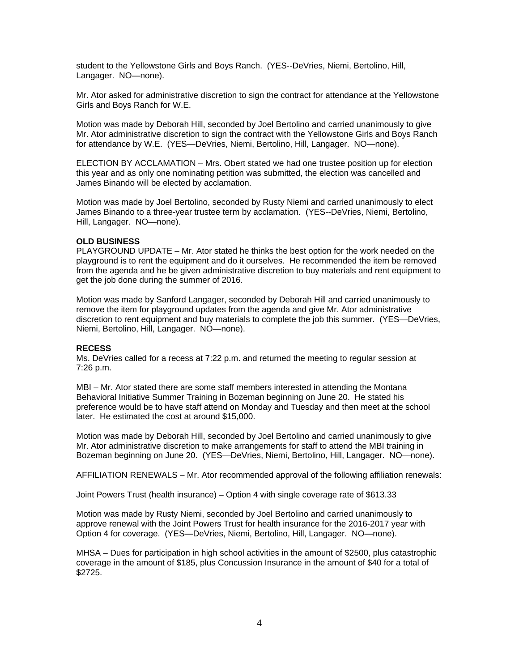student to the Yellowstone Girls and Boys Ranch. (YES--DeVries, Niemi, Bertolino, Hill, Langager. NO—none).

Mr. Ator asked for administrative discretion to sign the contract for attendance at the Yellowstone Girls and Boys Ranch for W.E.

Motion was made by Deborah Hill, seconded by Joel Bertolino and carried unanimously to give Mr. Ator administrative discretion to sign the contract with the Yellowstone Girls and Boys Ranch for attendance by W.E. (YES—DeVries, Niemi, Bertolino, Hill, Langager. NO—none).

ELECTION BY ACCLAMATION – Mrs. Obert stated we had one trustee position up for election this year and as only one nominating petition was submitted, the election was cancelled and James Binando will be elected by acclamation.

Motion was made by Joel Bertolino, seconded by Rusty Niemi and carried unanimously to elect James Binando to a three-year trustee term by acclamation. (YES--DeVries, Niemi, Bertolino, Hill, Langager. NO—none).

### **OLD BUSINESS**

PLAYGROUND UPDATE – Mr. Ator stated he thinks the best option for the work needed on the playground is to rent the equipment and do it ourselves. He recommended the item be removed from the agenda and he be given administrative discretion to buy materials and rent equipment to get the job done during the summer of 2016.

Motion was made by Sanford Langager, seconded by Deborah Hill and carried unanimously to remove the item for playground updates from the agenda and give Mr. Ator administrative discretion to rent equipment and buy materials to complete the job this summer. (YES—DeVries, Niemi, Bertolino, Hill, Langager. NO—none).

#### **RECESS**

Ms. DeVries called for a recess at 7:22 p.m. and returned the meeting to regular session at 7:26 p.m.

MBI – Mr. Ator stated there are some staff members interested in attending the Montana Behavioral Initiative Summer Training in Bozeman beginning on June 20. He stated his preference would be to have staff attend on Monday and Tuesday and then meet at the school later. He estimated the cost at around \$15,000.

Motion was made by Deborah Hill, seconded by Joel Bertolino and carried unanimously to give Mr. Ator administrative discretion to make arrangements for staff to attend the MBI training in Bozeman beginning on June 20. (YES—DeVries, Niemi, Bertolino, Hill, Langager. NO—none).

AFFILIATION RENEWALS – Mr. Ator recommended approval of the following affiliation renewals:

Joint Powers Trust (health insurance) – Option 4 with single coverage rate of \$613.33

Motion was made by Rusty Niemi, seconded by Joel Bertolino and carried unanimously to approve renewal with the Joint Powers Trust for health insurance for the 2016-2017 year with Option 4 for coverage. (YES—DeVries, Niemi, Bertolino, Hill, Langager. NO—none).

MHSA – Dues for participation in high school activities in the amount of \$2500, plus catastrophic coverage in the amount of \$185, plus Concussion Insurance in the amount of \$40 for a total of \$2725.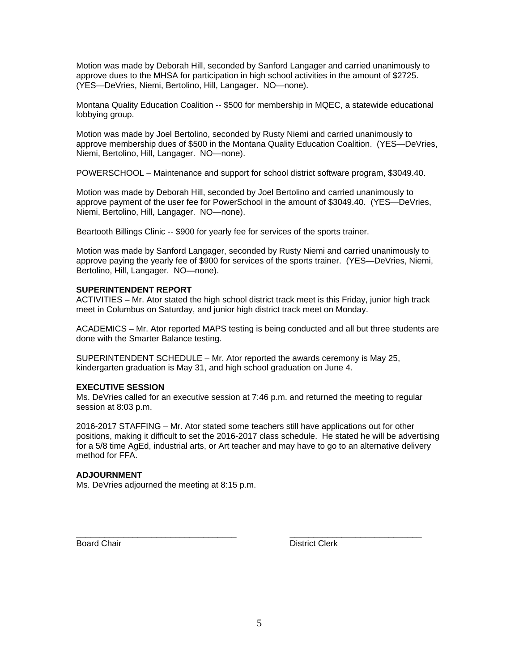Motion was made by Deborah Hill, seconded by Sanford Langager and carried unanimously to approve dues to the MHSA for participation in high school activities in the amount of \$2725. (YES—DeVries, Niemi, Bertolino, Hill, Langager. NO—none).

Montana Quality Education Coalition -- \$500 for membership in MQEC, a statewide educational lobbying group.

Motion was made by Joel Bertolino, seconded by Rusty Niemi and carried unanimously to approve membership dues of \$500 in the Montana Quality Education Coalition. (YES—DeVries, Niemi, Bertolino, Hill, Langager. NO—none).

POWERSCHOOL – Maintenance and support for school district software program, \$3049.40.

Motion was made by Deborah Hill, seconded by Joel Bertolino and carried unanimously to approve payment of the user fee for PowerSchool in the amount of \$3049.40. (YES—DeVries, Niemi, Bertolino, Hill, Langager. NO—none).

Beartooth Billings Clinic -- \$900 for yearly fee for services of the sports trainer.

Motion was made by Sanford Langager, seconded by Rusty Niemi and carried unanimously to approve paying the yearly fee of \$900 for services of the sports trainer. (YES—DeVries, Niemi, Bertolino, Hill, Langager. NO—none).

## **SUPERINTENDENT REPORT**

ACTIVITIES – Mr. Ator stated the high school district track meet is this Friday, junior high track meet in Columbus on Saturday, and junior high district track meet on Monday.

ACADEMICS – Mr. Ator reported MAPS testing is being conducted and all but three students are done with the Smarter Balance testing.

SUPERINTENDENT SCHEDULE – Mr. Ator reported the awards ceremony is May 25, kindergarten graduation is May 31, and high school graduation on June 4.

# **EXECUTIVE SESSION**

Ms. DeVries called for an executive session at 7:46 p.m. and returned the meeting to regular session at 8:03 p.m.

\_\_\_\_\_\_\_\_\_\_\_\_\_\_\_\_\_\_\_\_\_\_\_\_\_\_\_\_\_\_\_\_\_\_ \_\_\_\_\_\_\_\_\_\_\_\_\_\_\_\_\_\_\_\_\_\_\_\_\_\_\_\_

2016-2017 STAFFING – Mr. Ator stated some teachers still have applications out for other positions, making it difficult to set the 2016-2017 class schedule. He stated he will be advertising for a 5/8 time AgEd, industrial arts, or Art teacher and may have to go to an alternative delivery method for FFA.

# **ADJOURNMENT**

Ms. DeVries adjourned the meeting at 8:15 p.m.

Board Chair **District Clerk Board Chair District Clerk**